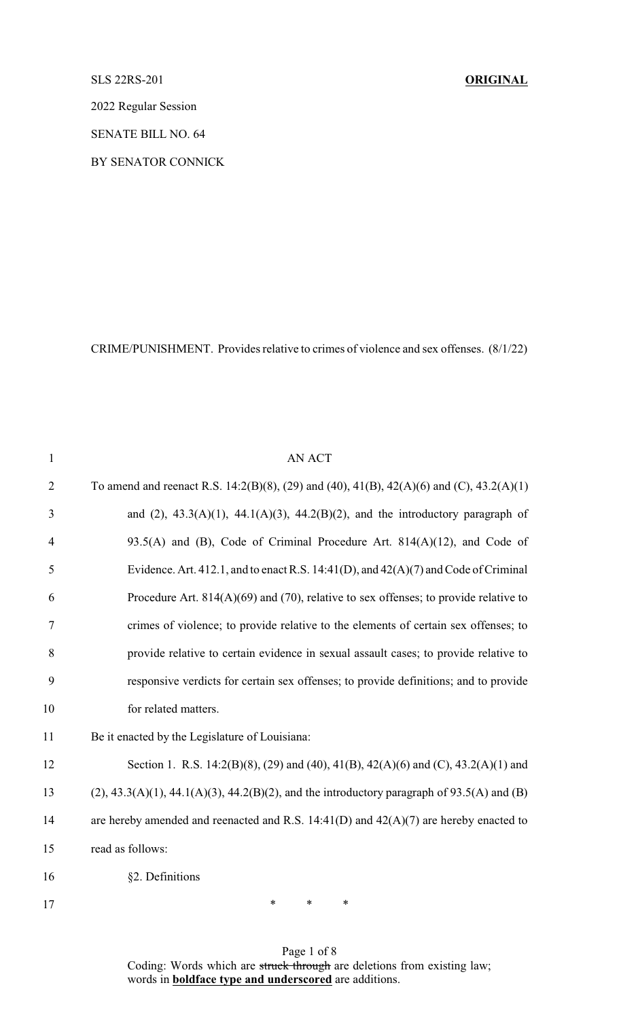## SLS 22RS-201 **ORIGINAL**

2022 Regular Session

SENATE BILL NO. 64

BY SENATOR CONNICK

CRIME/PUNISHMENT. Provides relative to crimes of violence and sex offenses. (8/1/22)

| $\mathbf{1}$   | AN ACT                                                                                        |
|----------------|-----------------------------------------------------------------------------------------------|
| $\overline{2}$ | To amend and reenact R.S. 14:2(B)(8), (29) and (40), 41(B), 42(A)(6) and (C), 43.2(A)(1)      |
| 3              | and (2), $43.3(A)(1)$ , $44.1(A)(3)$ , $44.2(B)(2)$ , and the introductory paragraph of       |
| $\overline{4}$ | 93.5(A) and (B), Code of Criminal Procedure Art. $814(A)(12)$ , and Code of                   |
| 5              | Evidence. Art. 412.1, and to enact R.S. 14:41(D), and $42(A)(7)$ and Code of Criminal         |
| 6              | Procedure Art. $814(A)(69)$ and (70), relative to sex offenses; to provide relative to        |
| $\tau$         | crimes of violence; to provide relative to the elements of certain sex offenses; to           |
| 8              | provide relative to certain evidence in sexual assault cases; to provide relative to          |
| 9              | responsive verdicts for certain sex offenses; to provide definitions; and to provide          |
| 10             | for related matters.                                                                          |
| 11             | Be it enacted by the Legislature of Louisiana:                                                |
| 12             | Section 1. R.S. 14:2(B)(8), (29) and (40), 41(B), 42(A)(6) and (C), 43.2(A)(1) and            |
| 13             | $(2)$ , 43.3(A)(1), 44.1(A)(3), 44.2(B)(2), and the introductory paragraph of 93.5(A) and (B) |
| 14             | are hereby amended and reenacted and R.S. $14:41(D)$ and $42(A)(7)$ are hereby enacted to     |
| 15             | read as follows:                                                                              |
| 16             | §2. Definitions                                                                               |
|                |                                                                                               |

17 \* \* \* \*

Page 1 of 8 Coding: Words which are struck through are deletions from existing law; words in **boldface type and underscored** are additions.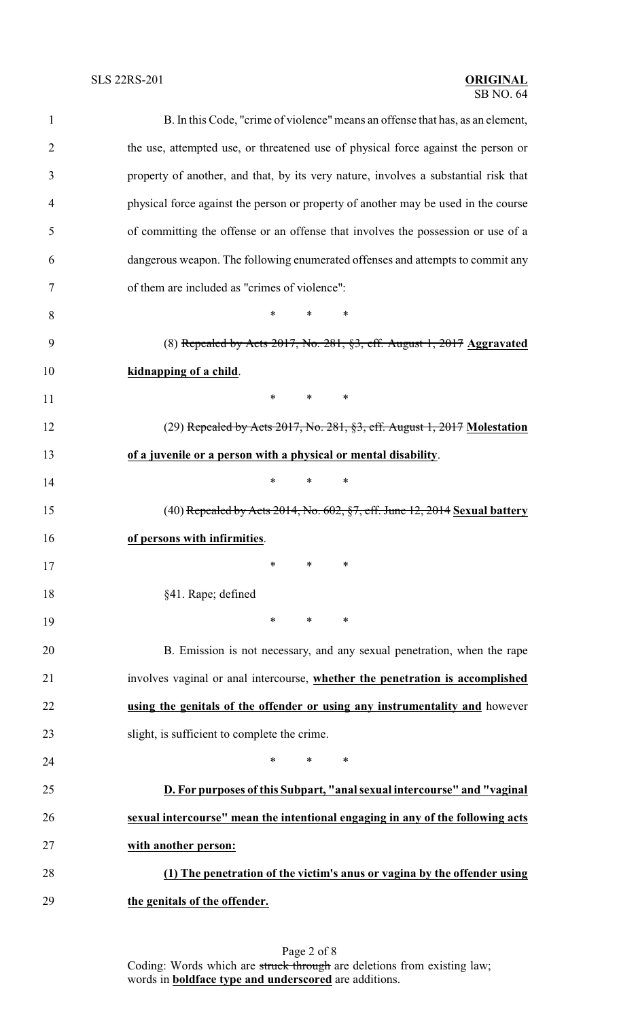## SB NO. 64

| $\mathbf{1}$   | B. In this Code, "crime of violence" means an offense that has, as an element,      |  |  |
|----------------|-------------------------------------------------------------------------------------|--|--|
| $\overline{2}$ | the use, attempted use, or threatened use of physical force against the person or   |  |  |
| 3              | property of another, and that, by its very nature, involves a substantial risk that |  |  |
| $\overline{4}$ | physical force against the person or property of another may be used in the course  |  |  |
| 5              | of committing the offense or an offense that involves the possession or use of a    |  |  |
| 6              | dangerous weapon. The following enumerated offenses and attempts to commit any      |  |  |
| 7              | of them are included as "crimes of violence":                                       |  |  |
| 8              | *<br>$\ast$<br>∗                                                                    |  |  |
| 9              | (8) Repealed by Acts $2017$ , No. $281$ , $\S3$ , eff. August 1, $2017$ Aggravated  |  |  |
| 10             | kidnapping of a child.                                                              |  |  |
| 11             | $\ast$<br>$*$ $*$<br>∗                                                              |  |  |
| 12             | $(29)$ Repealed by Acts 2017, No. 281, §3, eff. August 1, 2017 Molestation          |  |  |
| 13             | of a juvenile or a person with a physical or mental disability.                     |  |  |
| 14             | $\ast$<br>∗<br>∗                                                                    |  |  |
| 15             | $(40)$ Repealed by Acts 2014, No. 602, §7, eff. June 12, 2014 Sexual battery        |  |  |
| 16             | of persons with infirmities.                                                        |  |  |
| 17             | $*$ $*$<br>∗                                                                        |  |  |
| 18             | §41. Rape; defined                                                                  |  |  |
| 19             | $*$ and $*$<br>$\ast$<br>∗                                                          |  |  |
| 20             | B. Emission is not necessary, and any sexual penetration, when the rape             |  |  |
| 21             | involves vaginal or anal intercourse, whether the penetration is accomplished       |  |  |
| 22             | using the genitals of the offender or using any instrumentality and however         |  |  |
| 23             | slight, is sufficient to complete the crime.                                        |  |  |
| 24             | *<br>$\ast$<br>∗                                                                    |  |  |
| 25             | D. For purposes of this Subpart, "anal sexual intercourse" and "vaginal             |  |  |
| 26             | sexual intercourse" mean the intentional engaging in any of the following acts      |  |  |
| 27             | with another person:                                                                |  |  |
| 28             | (1) The penetration of the victim's anus or vagina by the offender using            |  |  |
| 29             | the genitals of the offender.                                                       |  |  |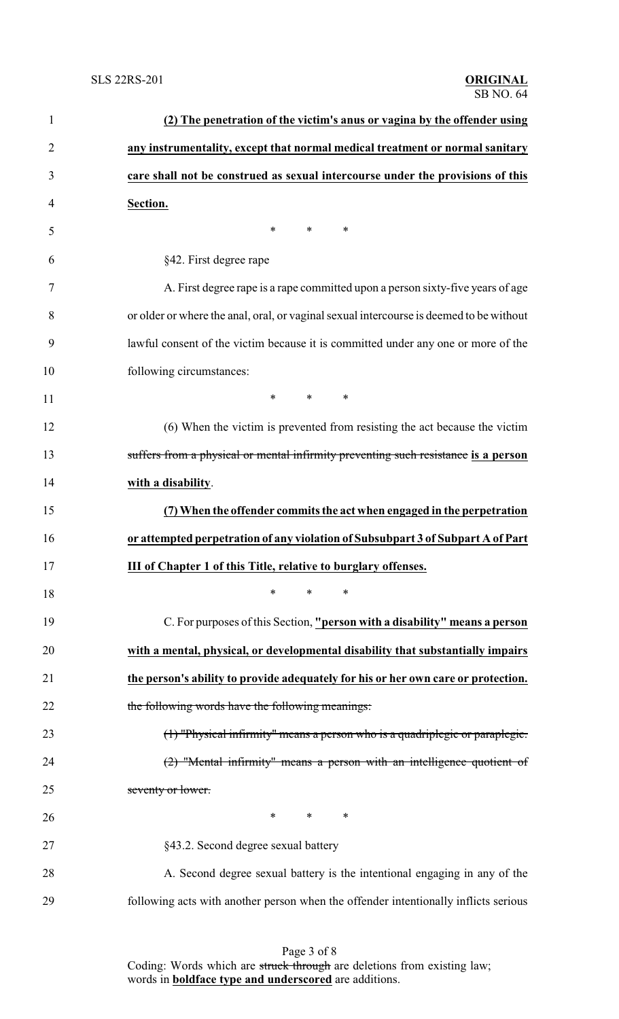| $\mathbf{1}$ | (2) The penetration of the victim's anus or vagina by the offender using                |
|--------------|-----------------------------------------------------------------------------------------|
| 2            | any instrumentality, except that normal medical treatment or normal sanitary            |
| 3            | care shall not be construed as sexual intercourse under the provisions of this          |
| 4            | Section.                                                                                |
| 5            | $\ast$<br>∗<br>∗                                                                        |
| 6            | §42. First degree rape                                                                  |
| 7            | A. First degree rape is a rape committed upon a person sixty-five years of age          |
| 8            | or older or where the anal, oral, or vaginal sexual intercourse is deemed to be without |
| 9            | lawful consent of the victim because it is committed under any one or more of the       |
| 10           | following circumstances:                                                                |
| 11           | $*$ *<br>$*$ and $*$                                                                    |
| 12           | (6) When the victim is prevented from resisting the act because the victim              |
| 13           | suffers from a physical or mental infirmity preventing such resistance is a person      |
| 14           | with a disability.                                                                      |
| 15           | (7) When the offender commits the act when engaged in the perpetration                  |
| 16           | or attempted perpetration of any violation of Subsubpart 3 of Subpart A of Part         |
| 17           | <b>III of Chapter 1 of this Title, relative to burglary offenses.</b>                   |
| 18           | $\ast$<br>$\ast$<br>∗                                                                   |
| 19           | C. For purposes of this Section, "person with a disability" means a person              |
| 20           | with a mental, physical, or developmental disability that substantially impairs         |
| 21           | the person's ability to provide adequately for his or her own care or protection.       |
| 22           | the following words have the following meanings:                                        |
| 23           | $(1)$ "Physical infirmity" means a person who is a quadriplegic or paraplegic.          |
| 24           | $(2)$ "Mental infirmity" means a person with an intelligence quotient of                |
| 25           | seventy or lower.                                                                       |
| 26           | $*$ *<br>∗                                                                              |
| 27           | §43.2. Second degree sexual battery                                                     |
| 28           | A. Second degree sexual battery is the intentional engaging in any of the               |
| 29           | following acts with another person when the offender intentionally inflicts serious     |

Page 3 of 8 Coding: Words which are struck through are deletions from existing law; words in **boldface type and underscored** are additions.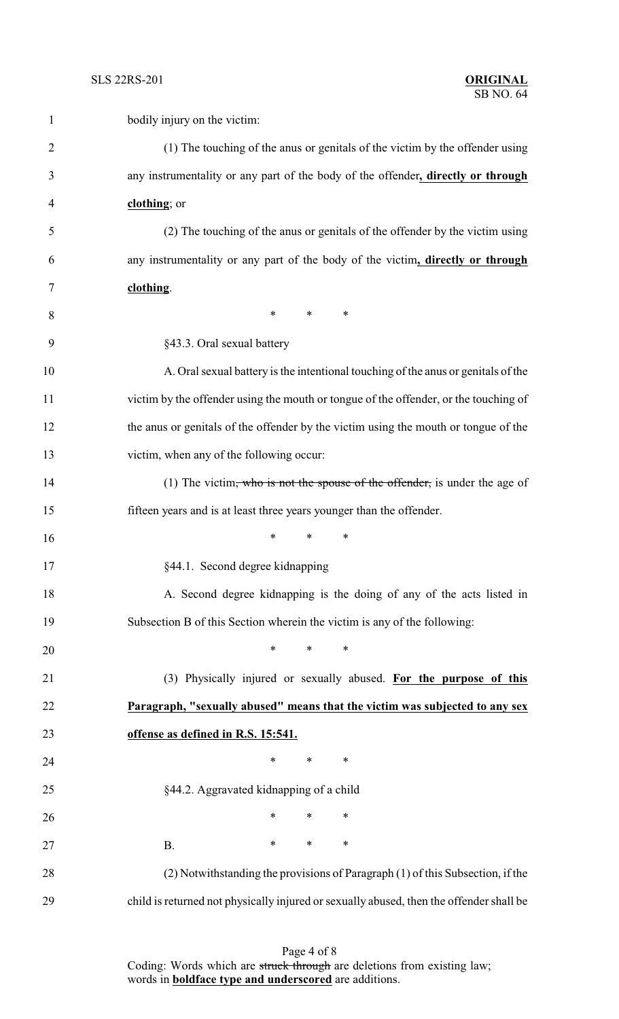| 1              | bodily injury on the victim:                                                            |
|----------------|-----------------------------------------------------------------------------------------|
| $\overline{2}$ | (1) The touching of the anus or genitals of the victim by the offender using            |
| 3              | any instrumentality or any part of the body of the offender, directly or through        |
| 4              | clothing; or                                                                            |
| 5              | (2) The touching of the anus or genitals of the offender by the victim using            |
| 6              | any instrumentality or any part of the body of the victim, directly or through          |
| 7              | clothing.                                                                               |
| 8              | $*$<br>$\ast$<br>∗                                                                      |
| 9              | §43.3. Oral sexual battery                                                              |
| 10             | A. Oral sexual battery is the intentional touching of the anus or genitals of the       |
| 11             | victim by the offender using the mouth or tongue of the offender, or the touching of    |
| 12             | the anus or genitals of the offender by the victim using the mouth or tongue of the     |
| 13             | victim, when any of the following occur:                                                |
| 14             | (1) The victim, who is not the spouse of the offender, is under the age of              |
| 15             | fifteen years and is at least three years younger than the offender.                    |
| 16             | *<br>*                                                                                  |
| 17             | §44.1. Second degree kidnapping                                                         |
| 18             | A. Second degree kidnapping is the doing of any of the acts listed in                   |
| 19             | Subsection B of this Section wherein the victim is any of the following:                |
| 20             | *<br>$\ast$<br>∗                                                                        |
| 21             | (3) Physically injured or sexually abused. For the purpose of this                      |
| 22             | Paragraph, "sexually abused" means that the victim was subjected to any sex             |
| 23             | offense as defined in R.S. 15:541.                                                      |
| 24             | *<br>$\ast$<br>∗                                                                        |
| 25             | §44.2. Aggravated kidnapping of a child                                                 |
| 26             | $\ast$<br>$\ast$<br>$\ast$                                                              |
| 27             | $\ast$<br>∗<br>∗<br><b>B.</b>                                                           |
| 28             | (2) Notwithstanding the provisions of Paragraph (1) of this Subsection, if the          |
| 29             | child is returned not physically injured or sexually abused, then the offender shall be |

Page 4 of 8 Coding: Words which are struck through are deletions from existing law; words in **boldface type and underscored** are additions.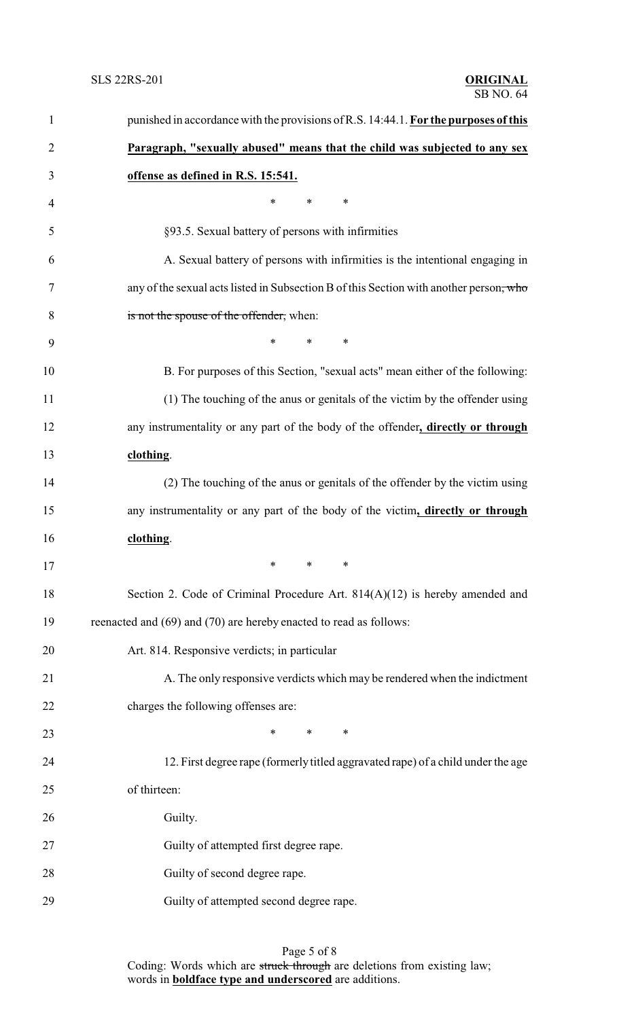| $\mathbf{1}$   | punished in accordance with the provisions of R.S. 14:44.1. For the purposes of this   |
|----------------|----------------------------------------------------------------------------------------|
| $\overline{2}$ | Paragraph, "sexually abused" means that the child was subjected to any sex             |
| 3              | offense as defined in R.S. 15:541.                                                     |
| 4              | $\ast$<br>$\ast$<br>∗                                                                  |
| 5              | §93.5. Sexual battery of persons with infirmities                                      |
| 6              | A. Sexual battery of persons with infirmities is the intentional engaging in           |
| 7              | any of the sexual acts listed in Subsection B of this Section with another person, who |
| 8              | is not the spouse of the offender, when:                                               |
| 9              | $\ast$<br>$\ast$<br>$\ast$                                                             |
| 10             | B. For purposes of this Section, "sexual acts" mean either of the following:           |
| 11             | (1) The touching of the anus or genitals of the victim by the offender using           |
| 12             | any instrumentality or any part of the body of the offender, directly or through       |
| 13             | clothing.                                                                              |
| 14             | (2) The touching of the anus or genitals of the offender by the victim using           |
| 15             | any instrumentality or any part of the body of the victim, directly or through         |
| 16             | clothing.                                                                              |
| 17             | $\begin{array}{ccc} * & * \end{array}$<br>$*$ and $*$                                  |
| 18             | Section 2. Code of Criminal Procedure Art. $814(A)(12)$ is hereby amended and          |
| 19             | reenacted and (69) and (70) are hereby enacted to read as follows:                     |
| 20             | Art. 814. Responsive verdicts; in particular                                           |
| 21             | A. The only responsive verdicts which may be rendered when the indictment              |
| 22             | charges the following offenses are:                                                    |
| 23             | $*$ $*$<br>$\ast$<br>∗                                                                 |
| 24             | 12. First degree rape (formerly titled aggravated rape) of a child under the age       |
| 25             | of thirteen:                                                                           |
| 26             | Guilty.                                                                                |
| 27             | Guilty of attempted first degree rape.                                                 |
| 28             | Guilty of second degree rape.                                                          |
| 29             | Guilty of attempted second degree rape.                                                |
|                |                                                                                        |

## Page 5 of 8

Coding: Words which are struck through are deletions from existing law; words in **boldface type and underscored** are additions.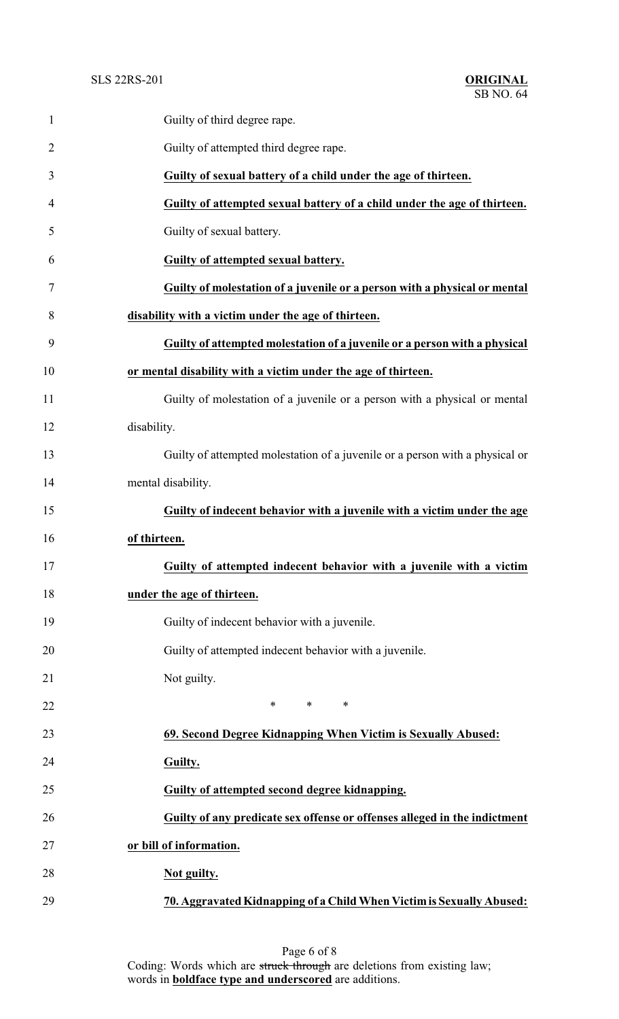| $\mathbf{1}$   | Guilty of third degree rape.                                                 |  |
|----------------|------------------------------------------------------------------------------|--|
| $\overline{2}$ | Guilty of attempted third degree rape.                                       |  |
| 3              | Guilty of sexual battery of a child under the age of thirteen.               |  |
| 4              | Guilty of attempted sexual battery of a child under the age of thirteen.     |  |
| 5              | Guilty of sexual battery.                                                    |  |
| 6              | Guilty of attempted sexual battery.                                          |  |
| 7              | Guilty of molestation of a juvenile or a person with a physical or mental    |  |
| 8              | disability with a victim under the age of thirteen.                          |  |
| 9              | Guilty of attempted molestation of a juvenile or a person with a physical    |  |
| 10             | or mental disability with a victim under the age of thirteen.                |  |
| 11             | Guilty of molestation of a juvenile or a person with a physical or mental    |  |
| 12             | disability.                                                                  |  |
| 13             | Guilty of attempted molestation of a juvenile or a person with a physical or |  |
| 14             | mental disability.                                                           |  |
| 15             | Guilty of indecent behavior with a juvenile with a victim under the age      |  |
| 16             | of thirteen.                                                                 |  |
| 17             | Guilty of attempted indecent behavior with a juvenile with a victim          |  |
| 18             | under the age of thirteen.                                                   |  |
| 19             | Guilty of indecent behavior with a juvenile.                                 |  |
| 20             | Guilty of attempted indecent behavior with a juvenile.                       |  |
| 21             | Not guilty.                                                                  |  |
| 22             | $\ast$<br>$*$ and $*$<br>$\ast$                                              |  |
| 23             | 69. Second Degree Kidnapping When Victim is Sexually Abused:                 |  |
| 24             | Guilty.                                                                      |  |
| 25             | Guilty of attempted second degree kidnapping.                                |  |
| 26             | Guilty of any predicate sex offense or offenses alleged in the indictment    |  |
| 27             | or bill of information.                                                      |  |
| 28             | Not guilty.                                                                  |  |
| 29             | 70. Aggravated Kidnapping of a Child When Victim is Sexually Abused:         |  |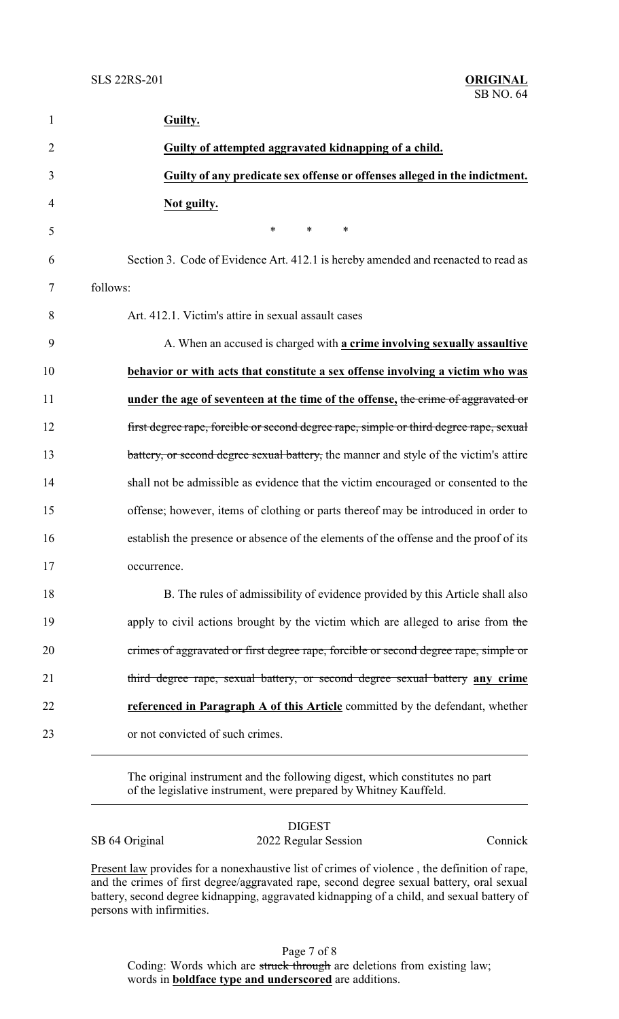| $\mathbf{1}$   | Guilty.                                                                                |
|----------------|----------------------------------------------------------------------------------------|
| $\overline{2}$ | Guilty of attempted aggravated kidnapping of a child.                                  |
| 3              | Guilty of any predicate sex offense or offenses alleged in the indictment.             |
| 4              | Not guilty.                                                                            |
| 5              | $\ast$<br>$*$ $*$<br>∗                                                                 |
| 6              | Section 3. Code of Evidence Art. 412.1 is hereby amended and reenacted to read as      |
| 7              | follows:                                                                               |
| 8              | Art. 412.1. Victim's attire in sexual assault cases                                    |
| 9              | A. When an accused is charged with a crime involving sexually assaultive               |
| 10             | behavior or with acts that constitute a sex offense involving a victim who was         |
| 11             | under the age of seventeen at the time of the offense, the crime of aggravated or      |
| 12             | first degree rape, forcible or second degree rape, simple or third degree rape, sexual |
| 13             | battery, or second degree sexual battery, the manner and style of the victim's attire  |
| 14             | shall not be admissible as evidence that the victim encouraged or consented to the     |
| 15             | offense; however, items of clothing or parts thereof may be introduced in order to     |
| 16             | establish the presence or absence of the elements of the offense and the proof of its  |
| 17             | occurrence.                                                                            |
| 18             | B. The rules of admissibility of evidence provided by this Article shall also          |
| 19             | apply to civil actions brought by the victim which are alleged to arise from the       |
| 20             | crimes of aggravated or first degree rape, forcible or second degree rape, simple or   |
| 21             | third degree rape, sexual battery, or second degree sexual battery any crime           |
| 22             | referenced in Paragraph A of this Article committed by the defendant, whether          |
| 23             | or not convicted of such crimes.                                                       |
|                |                                                                                        |

The original instrument and the following digest, which constitutes no part of the legislative instrument, were prepared by Whitney Kauffeld.

|                | <b>DIGEST</b>        |         |
|----------------|----------------------|---------|
| SB 64 Original | 2022 Regular Session | Connick |

Present law provides for a nonexhaustive list of crimes of violence, the definition of rape, and the crimes of first degree/aggravated rape, second degree sexual battery, oral sexual battery, second degree kidnapping, aggravated kidnapping of a child, and sexual battery of persons with infirmities.

Page 7 of 8 Coding: Words which are struck through are deletions from existing law; words in **boldface type and underscored** are additions.